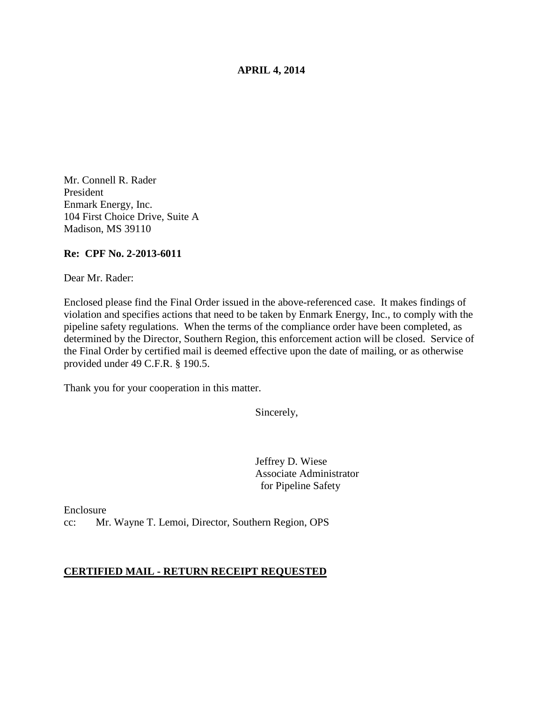## **APRIL 4, 2014**

Mr. Connell R. Rader President Enmark Energy, Inc. 104 First Choice Drive, Suite A Madison, MS 39110

## **Re: CPF No. 2-2013-6011**

Dear Mr. Rader:

Enclosed please find the Final Order issued in the above-referenced case. It makes findings of violation and specifies actions that need to be taken by Enmark Energy, Inc., to comply with the pipeline safety regulations. When the terms of the compliance order have been completed, as determined by the Director, Southern Region, this enforcement action will be closed. Service of the Final Order by certified mail is deemed effective upon the date of mailing, or as otherwise provided under 49 C.F.R. § 190.5.

Thank you for your cooperation in this matter.

Sincerely,

Jeffrey D. Wiese Associate Administrator for Pipeline Safety

Enclosure cc: Mr. Wayne T. Lemoi, Director, Southern Region, OPS

### **CERTIFIED MAIL - RETURN RECEIPT REQUESTED**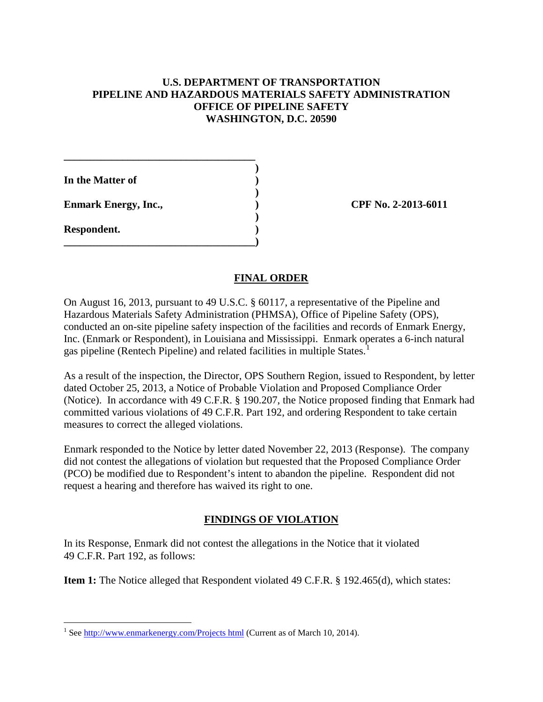# **U.S. DEPARTMENT OF TRANSPORTATION PIPELINE AND HAZARDOUS MATERIALS SAFETY ADMINISTRATION OFFICE OF PIPELINE SAFETY WASHINGTON, D.C. 20590**

 **) In the Matter of ) ) Enmark Energy, Inc., 2013-6011** (*CPF No. 2-2013-6011*  **) Respondent. ) \_\_\_\_\_\_\_\_\_\_\_\_\_\_\_\_\_\_\_\_\_\_\_\_\_\_\_\_\_\_\_\_\_\_\_\_)** 

**\_\_\_\_\_\_\_\_\_\_\_\_\_\_\_\_\_\_\_\_\_\_\_\_\_\_\_\_\_\_\_\_\_\_\_\_** 

# **FINAL ORDER**

On August 16, 2013, pursuant to 49 U.S.C. § 60117, a representative of the Pipeline and Hazardous Materials Safety Administration (PHMSA), Office of Pipeline Safety (OPS), conducted an on-site pipeline safety inspection of the facilities and records of Enmark Energy, Inc. (Enmark or Respondent), in Louisiana and Mississippi. Enmark operates a 6-inch natural gas pipeline (Rentech Pipeline) and related facilities in multiple States.<sup>1</sup>

As a result of the inspection, the Director, OPS Southern Region, issued to Respondent, by letter dated October 25, 2013, a Notice of Probable Violation and Proposed Compliance Order (Notice). In accordance with 49 C.F.R. § 190.207, the Notice proposed finding that Enmark had committed various violations of 49 C.F.R. Part 192, and ordering Respondent to take certain measures to correct the alleged violations.

Enmark responded to the Notice by letter dated November 22, 2013 (Response). The company did not contest the allegations of violation but requested that the Proposed Compliance Order (PCO) be modified due to Respondent's intent to abandon the pipeline. Respondent did not request a hearing and therefore has waived its right to one.

# **FINDINGS OF VIOLATION**

In its Response, Enmark did not contest the allegations in the Notice that it violated 49 C.F.R. Part 192, as follows:

**Item 1:** The Notice alleged that Respondent violated 49 C.F.R. § 192.465(d), which states:

 $\overline{a}$ <sup>1</sup> See http://www.enmarkenergy.com/Projects html (Current as of March 10, 2014).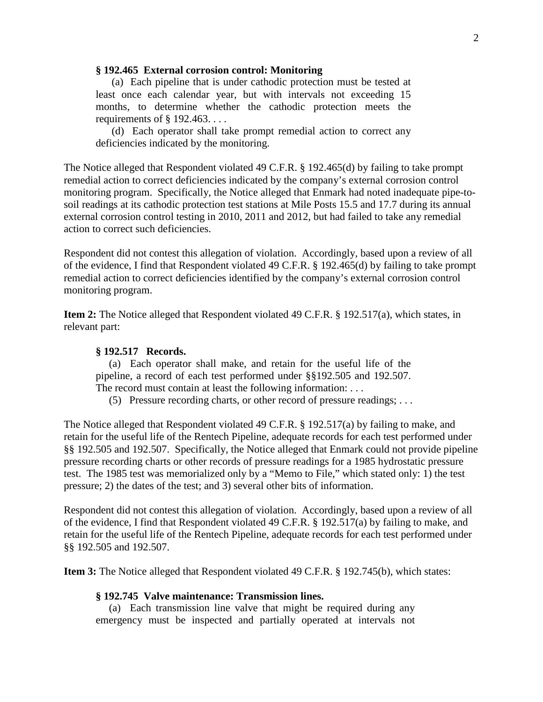#### **§ 192.465 External corrosion control: Monitoring**

 (a) Each pipeline that is under cathodic protection must be tested at least once each calendar year, but with intervals not exceeding 15 months, to determine whether the cathodic protection meets the requirements of § 192.463. . . .

(d) Each operator shall take prompt remedial action to correct any deficiencies indicated by the monitoring.

The Notice alleged that Respondent violated 49 C.F.R. § 192.465(d) by failing to take prompt remedial action to correct deficiencies indicated by the company's external corrosion control monitoring program. Specifically, the Notice alleged that Enmark had noted inadequate pipe-tosoil readings at its cathodic protection test stations at Mile Posts 15.5 and 17.7 during its annual external corrosion control testing in 2010, 2011 and 2012, but had failed to take any remedial action to correct such deficiencies.

Respondent did not contest this allegation of violation. Accordingly, based upon a review of all of the evidence, I find that Respondent violated 49 C.F.R. § 192.465(d) by failing to take prompt remedial action to correct deficiencies identified by the company's external corrosion control monitoring program.

**Item 2:** The Notice alleged that Respondent violated 49 C.F.R. § 192.517(a), which states, in relevant part:

# **§ 192.517 Records.**

 (a) Each operator shall make, and retain for the useful life of the pipeline, a record of each test performed under §§192.505 and 192.507. The record must contain at least the following information: . . .

(5) Pressure recording charts, or other record of pressure readings; . . .

The Notice alleged that Respondent violated 49 C.F.R. § 192.517(a) by failing to make, and retain for the useful life of the Rentech Pipeline, adequate records for each test performed under §§ 192.505 and 192.507. Specifically, the Notice alleged that Enmark could not provide pipeline pressure recording charts or other records of pressure readings for a 1985 hydrostatic pressure test. The 1985 test was memorialized only by a "Memo to File," which stated only: 1) the test pressure; 2) the dates of the test; and 3) several other bits of information.

Respondent did not contest this allegation of violation. Accordingly, based upon a review of all of the evidence, I find that Respondent violated 49 C.F.R. § 192.517(a) by failing to make, and retain for the useful life of the Rentech Pipeline, adequate records for each test performed under §§ 192.505 and 192.507.

**Item 3:** The Notice alleged that Respondent violated 49 C.F.R. § 192.745(b), which states:

#### **§ 192.745 Valve maintenance: Transmission lines.**

 (a) Each transmission line valve that might be required during any emergency must be inspected and partially operated at intervals not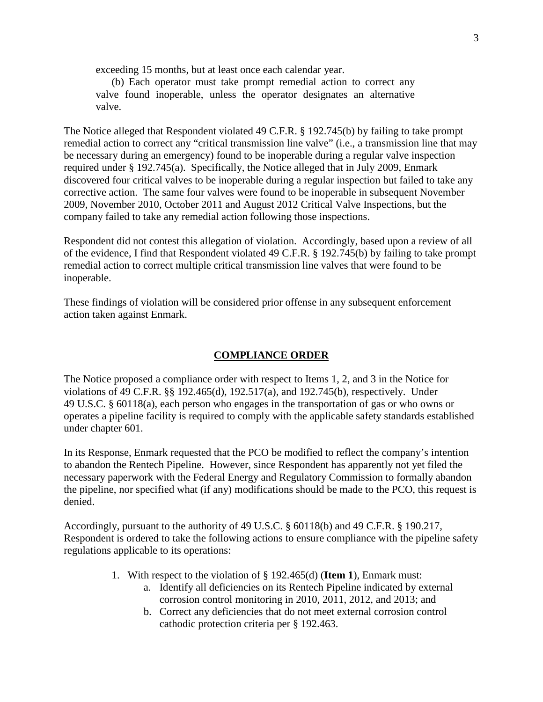exceeding 15 months, but at least once each calendar year.

(b) Each operator must take prompt remedial action to correct any valve found inoperable, unless the operator designates an alternative valve.

The Notice alleged that Respondent violated 49 C.F.R. § 192.745(b) by failing to take prompt remedial action to correct any "critical transmission line valve" (i.e., a transmission line that may be necessary during an emergency) found to be inoperable during a regular valve inspection required under § 192.745(a). Specifically, the Notice alleged that in July 2009, Enmark discovered four critical valves to be inoperable during a regular inspection but failed to take any corrective action. The same four valves were found to be inoperable in subsequent November 2009, November 2010, October 2011 and August 2012 Critical Valve Inspections, but the company failed to take any remedial action following those inspections.

Respondent did not contest this allegation of violation. Accordingly, based upon a review of all of the evidence, I find that Respondent violated 49 C.F.R. § 192.745(b) by failing to take prompt remedial action to correct multiple critical transmission line valves that were found to be inoperable.

These findings of violation will be considered prior offense in any subsequent enforcement action taken against Enmark.

### **COMPLIANCE ORDER**

The Notice proposed a compliance order with respect to Items 1, 2, and 3 in the Notice for violations of 49 C.F.R. §§ 192.465(d), 192.517(a), and 192.745(b), respectively. Under 49 U.S.C. § 60118(a), each person who engages in the transportation of gas or who owns or operates a pipeline facility is required to comply with the applicable safety standards established under chapter 601.

In its Response, Enmark requested that the PCO be modified to reflect the company's intention to abandon the Rentech Pipeline. However, since Respondent has apparently not yet filed the necessary paperwork with the Federal Energy and Regulatory Commission to formally abandon the pipeline, nor specified what (if any) modifications should be made to the PCO, this request is denied.

Accordingly, pursuant to the authority of 49 U.S.C. § 60118(b) and 49 C.F.R. § 190.217, Respondent is ordered to take the following actions to ensure compliance with the pipeline safety regulations applicable to its operations:

- 1. With respect to the violation of § 192.465(d) (**Item 1**), Enmark must:
	- a. Identify all deficiencies on its Rentech Pipeline indicated by external corrosion control monitoring in 2010, 2011, 2012, and 2013; and
	- b. Correct any deficiencies that do not meet external corrosion control cathodic protection criteria per § 192.463.